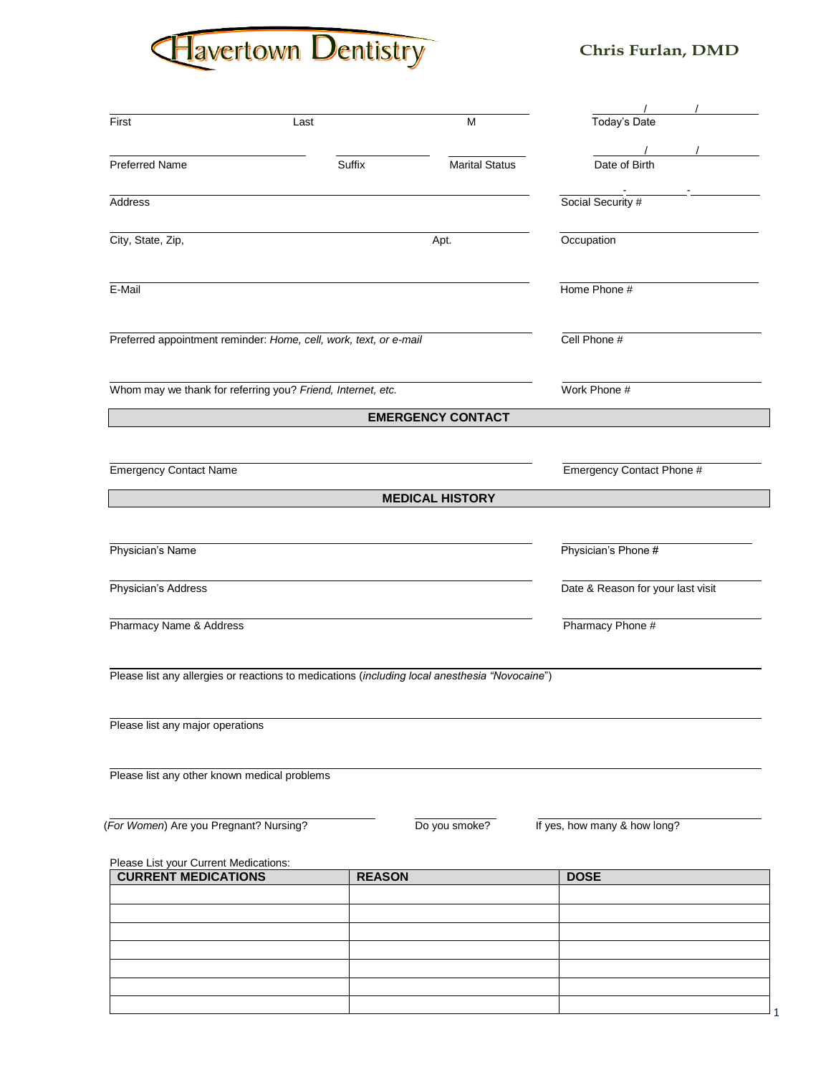# Havertown Dentistry

## **Chris Furlan, DMD**

1

| First                                                        | Last                                                                                           | M                                 | Today's Date                 |
|--------------------------------------------------------------|------------------------------------------------------------------------------------------------|-----------------------------------|------------------------------|
| <b>Preferred Name</b>                                        | Suffix                                                                                         | <b>Marital Status</b>             | Date of Birth                |
| <b>Address</b>                                               |                                                                                                |                                   | Social Security #            |
| City, State, Zip,                                            |                                                                                                | Apt.                              | Occupation                   |
| E-Mail                                                       |                                                                                                | Home Phone #                      |                              |
|                                                              | Preferred appointment reminder: Home, cell, work, text, or e-mail                              | Cell Phone #                      |                              |
|                                                              | Whom may we thank for referring you? Friend, Internet, etc.                                    | Work Phone #                      |                              |
|                                                              |                                                                                                | <b>EMERGENCY CONTACT</b>          |                              |
| <b>Emergency Contact Name</b>                                |                                                                                                | Emergency Contact Phone #         |                              |
|                                                              |                                                                                                | <b>MEDICAL HISTORY</b>            |                              |
| Physician's Name                                             |                                                                                                | Physician's Phone #               |                              |
| Physician's Address                                          |                                                                                                | Date & Reason for your last visit |                              |
| Pharmacy Name & Address                                      |                                                                                                | Pharmacy Phone #                  |                              |
|                                                              | Please list any allergies or reactions to medications (including local anesthesia "Novocaine") |                                   |                              |
| Please list any major operations                             |                                                                                                |                                   |                              |
| Please list any other known medical problems                 |                                                                                                |                                   |                              |
| (For Women) Are you Pregnant? Nursing?                       |                                                                                                | Do you smoke?                     | If yes, how many & how long? |
| Please List your Current Medications:<br>CURRENT MEDICATIONS | <b>REASON</b>                                                                                  |                                   | <b>DOSE</b>                  |
|                                                              |                                                                                                |                                   |                              |
|                                                              |                                                                                                |                                   |                              |
|                                                              |                                                                                                |                                   |                              |
|                                                              |                                                                                                |                                   |                              |
|                                                              |                                                                                                |                                   |                              |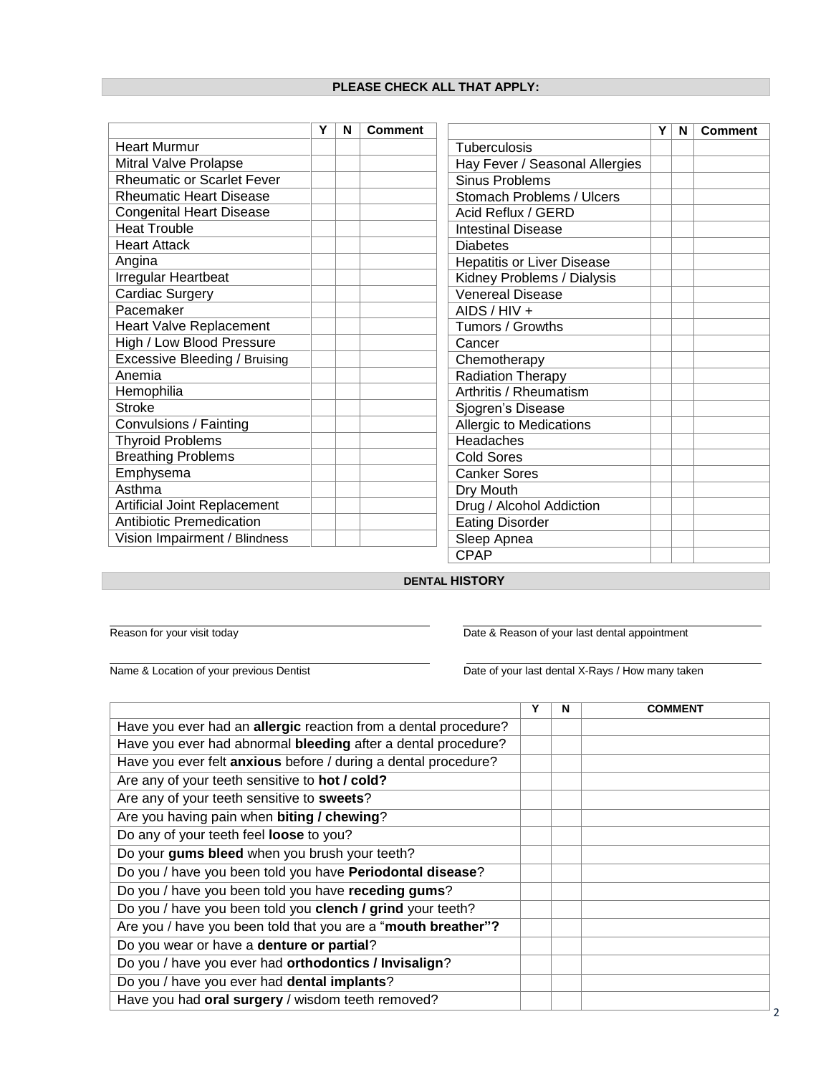### **PLEASE CHECK ALL THAT APPLY:**

|                                   | Y | N | <b>Comment</b> |                                   | Y | N | <b>Comment</b> |
|-----------------------------------|---|---|----------------|-----------------------------------|---|---|----------------|
| <b>Heart Murmur</b>               |   |   |                | Tuberculosis                      |   |   |                |
| Mitral Valve Prolapse             |   |   |                | Hay Fever / Seasonal Allergies    |   |   |                |
| <b>Rheumatic or Scarlet Fever</b> |   |   |                | <b>Sinus Problems</b>             |   |   |                |
| <b>Rheumatic Heart Disease</b>    |   |   |                | Stomach Problems / Ulcers         |   |   |                |
| <b>Congenital Heart Disease</b>   |   |   |                | Acid Reflux / GERD                |   |   |                |
| <b>Heat Trouble</b>               |   |   |                | <b>Intestinal Disease</b>         |   |   |                |
| <b>Heart Attack</b>               |   |   |                | <b>Diabetes</b>                   |   |   |                |
| Angina                            |   |   |                | <b>Hepatitis or Liver Disease</b> |   |   |                |
| Irregular Heartbeat               |   |   |                | Kidney Problems / Dialysis        |   |   |                |
| <b>Cardiac Surgery</b>            |   |   |                | <b>Venereal Disease</b>           |   |   |                |
| Pacemaker                         |   |   |                | AIDS / HIV +                      |   |   |                |
| Heart Valve Replacement           |   |   |                | Tumors / Growths                  |   |   |                |
| High / Low Blood Pressure         |   |   |                | Cancer                            |   |   |                |
| Excessive Bleeding / Bruising     |   |   |                | Chemotherapy                      |   |   |                |
| Anemia                            |   |   |                | <b>Radiation Therapy</b>          |   |   |                |
| Hemophilia                        |   |   |                | Arthritis / Rheumatism            |   |   |                |
| <b>Stroke</b>                     |   |   |                | Sjogren's Disease                 |   |   |                |
| Convulsions / Fainting            |   |   |                | <b>Allergic to Medications</b>    |   |   |                |
| <b>Thyroid Problems</b>           |   |   |                | Headaches                         |   |   |                |
| <b>Breathing Problems</b>         |   |   |                | <b>Cold Sores</b>                 |   |   |                |
| Emphysema                         |   |   |                | <b>Canker Sores</b>               |   |   |                |
| Asthma                            |   |   |                | Dry Mouth                         |   |   |                |
| Artificial Joint Replacement      |   |   |                | Drug / Alcohol Addiction          |   |   |                |
| <b>Antibiotic Premedication</b>   |   |   |                | <b>Eating Disorder</b>            |   |   |                |
| Vision Impairment / Blindness     |   |   |                | Sleep Apnea                       |   |   |                |
|                                   |   |   |                | <b>CPAP</b>                       |   |   |                |

**DENTAL HISTORY**

Reason for your visit today

Date & Reason of your last dental appointment

Name & Location of your previous Dentist

Date of your last dental X-Rays / How many taken

| N | <b>COMMENT</b> |
|---|----------------|
|   |                |
|   |                |
|   |                |
|   |                |
|   |                |
|   |                |
|   |                |
|   |                |
|   |                |
|   |                |
|   |                |
|   |                |
|   |                |
|   |                |
|   |                |
|   |                |
|   |                |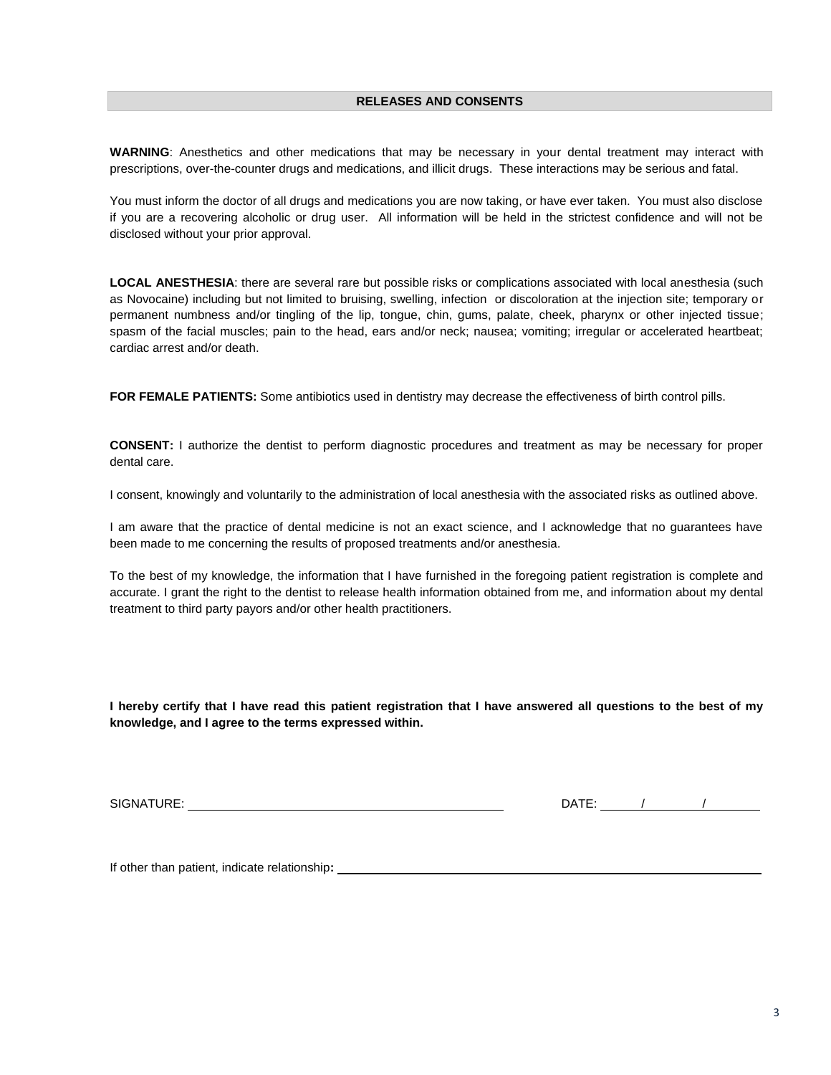**WARNING**: Anesthetics and other medications that may be necessary in your dental treatment may interact with prescriptions, over-the-counter drugs and medications, and illicit drugs. These interactions may be serious and fatal.

You must inform the doctor of all drugs and medications you are now taking, or have ever taken. You must also disclose if you are a recovering alcoholic or drug user. All information will be held in the strictest confidence and will not be disclosed without your prior approval.

**LOCAL ANESTHESIA**: there are several rare but possible risks or complications associated with local anesthesia (such as Novocaine) including but not limited to bruising, swelling, infection or discoloration at the injection site; temporary or permanent numbness and/or tingling of the lip, tongue, chin, gums, palate, cheek, pharynx or other injected tissue; spasm of the facial muscles; pain to the head, ears and/or neck; nausea; vomiting; irregular or accelerated heartbeat; cardiac arrest and/or death.

**FOR FEMALE PATIENTS:** Some antibiotics used in dentistry may decrease the effectiveness of birth control pills.

**CONSENT:** I authorize the dentist to perform diagnostic procedures and treatment as may be necessary for proper dental care.

I consent, knowingly and voluntarily to the administration of local anesthesia with the associated risks as outlined above.

I am aware that the practice of dental medicine is not an exact science, and I acknowledge that no guarantees have been made to me concerning the results of proposed treatments and/or anesthesia.

To the best of my knowledge, the information that I have furnished in the foregoing patient registration is complete and accurate. I grant the right to the dentist to release health information obtained from me, and information about my dental treatment to third party payors and/or other health practitioners.

**I hereby certify that I have read this patient registration that I have answered all questions to the best of my knowledge, and I agree to the terms expressed within.**

SIGNATURE: DATE: / /

If other than patient, indicate relationship**:**